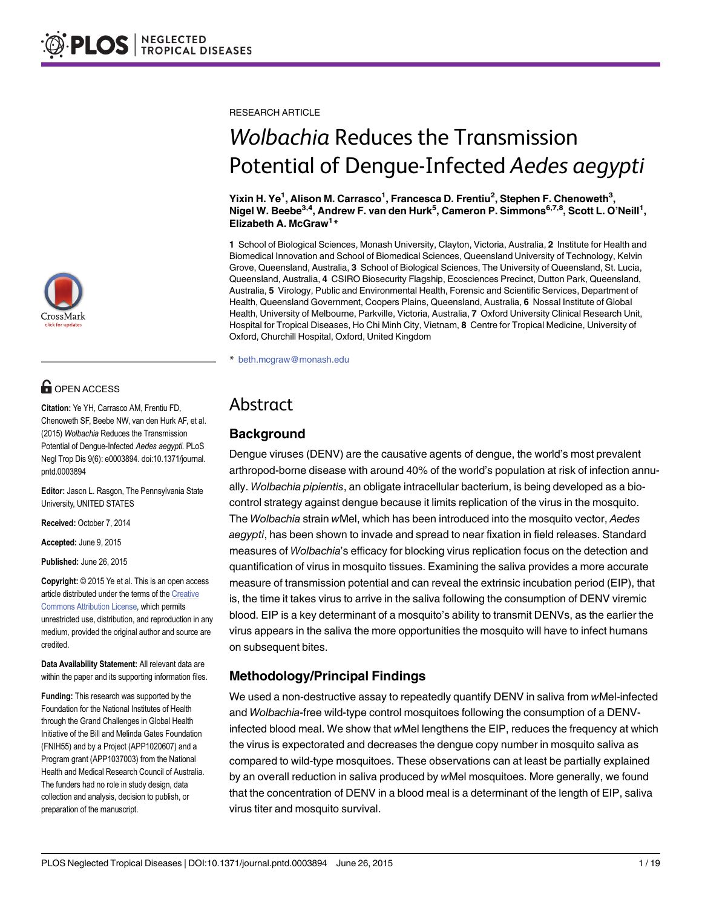

# **G** OPEN ACCESS

Citation: Ye YH, Carrasco AM, Frentiu FD, Chenoweth SF, Beebe NW, van den Hurk AF, et al. (2015) Wolbachia Reduces the Transmission Potential of Dengue-Infected Aedes aegypti. PLoS Negl Trop Dis 9(6): e0003894. doi:10.1371/journal. pntd.0003894

Editor: Jason L. Rasgon, The Pennsylvania State University, UNITED STATES

Received: October 7, 2014

Accepted: June 9, 2015

Published: June 26, 2015

Copyright: © 2015 Ye et al. This is an open access article distributed under the terms of the [Creative](http://creativecommons.org/licenses/by/4.0/) [Commons Attribution License](http://creativecommons.org/licenses/by/4.0/), which permits unrestricted use, distribution, and reproduction in any medium, provided the original author and source are credited.

Data Availability Statement: All relevant data are within the paper and its supporting information files.

Funding: This research was supported by the Foundation for the National Institutes of Health through the Grand Challenges in Global Health Initiative of the Bill and Melinda Gates Foundation (FNIH55) and by a Project (APP1020607) and a Program grant (APP1037003) from the National Health and Medical Research Council of Australia. The funders had no role in study design, data collection and analysis, decision to publish, or preparation of the manuscript.

RESEARCH ARTICLE

# Wolbachia Reduces the Transmission Potential of Dengue-Infected Aedes aegypti

Yixin H. Ye<sup>1</sup>, Alison M. Carrasco<sup>1</sup>, Francesca D. Frentiu<sup>2</sup>, Stephen F. Chenoweth<sup>3</sup>, Nigel W. Beebe<sup>3,4</sup>, Andrew F. van den Hurk<sup>5</sup>, Cameron P. Simmons<sup>6,7,8</sup>, Scott L. O'Neill<sup>1</sup>, Elizabeth A. McGraw<sup>1\*</sup>

1 School of Biological Sciences, Monash University, Clayton, Victoria, Australia, 2 Institute for Health and Biomedical Innovation and School of Biomedical Sciences, Queensland University of Technology, Kelvin Grove, Queensland, Australia, 3 School of Biological Sciences, The University of Queensland, St. Lucia, Queensland, Australia, 4 CSIRO Biosecurity Flagship, Ecosciences Precinct, Dutton Park, Queensland, Australia, 5 Virology, Public and Environmental Health, Forensic and Scientific Services, Department of Health, Queensland Government, Coopers Plains, Queensland, Australia, 6 Nossal Institute of Global Health, University of Melbourne, Parkville, Victoria, Australia, 7 Oxford University Clinical Research Unit, Hospital for Tropical Diseases, Ho Chi Minh City, Vietnam, 8 Centre for Tropical Medicine, University of Oxford, Churchill Hospital, Oxford, United Kingdom

\* beth.mcgraw@monash.edu

## Abstract

## **Background**

Dengue viruses (DENV) are the causative agents of dengue, the world's most prevalent arthropod-borne disease with around 40% of the world's population at risk of infection annually. Wolbachia pipientis, an obligate intracellular bacterium, is being developed as a biocontrol strategy against dengue because it limits replication of the virus in the mosquito. The Wolbachia strain wMel, which has been introduced into the mosquito vector, Aedes aegypti, has been shown to invade and spread to near fixation in field releases. Standard measures of Wolbachia's efficacy for blocking virus replication focus on the detection and quantification of virus in mosquito tissues. Examining the saliva provides a more accurate measure of transmission potential and can reveal the extrinsic incubation period (EIP), that is, the time it takes virus to arrive in the saliva following the consumption of DENV viremic blood. EIP is a key determinant of a mosquito's ability to transmit DENVs, as the earlier the virus appears in the saliva the more opportunities the mosquito will have to infect humans on subsequent bites.

## Methodology/Principal Findings

We used a non-destructive assay to repeatedly quantify DENV in saliva from wMel-infected and Wolbachia-free wild-type control mosquitoes following the consumption of a DENVinfected blood meal. We show that wMel lengthens the EIP, reduces the frequency at which the virus is expectorated and decreases the dengue copy number in mosquito saliva as compared to wild-type mosquitoes. These observations can at least be partially explained by an overall reduction in saliva produced by wMel mosquitoes. More generally, we found that the concentration of DENV in a blood meal is a determinant of the length of EIP, saliva virus titer and mosquito survival.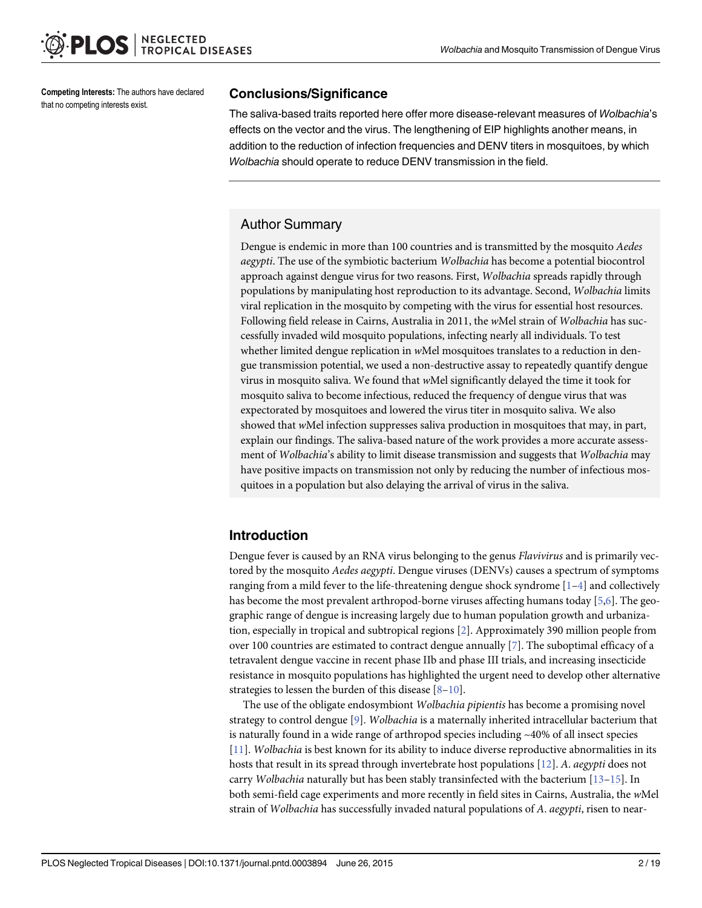<span id="page-1-0"></span>Competing Interests: The authors have declared that no competing interests exist.

#### Conclusions/Significance

The saliva-based traits reported here offer more disease-relevant measures of Wolbachia's effects on the vector and the virus. The lengthening of EIP highlights another means, in addition to the reduction of infection frequencies and DENV titers in mosquitoes, by which Wolbachia should operate to reduce DENV transmission in the field.

## Author Summary

Dengue is endemic in more than 100 countries and is transmitted by the mosquito Aedes aegypti. The use of the symbiotic bacterium Wolbachia has become a potential biocontrol approach against dengue virus for two reasons. First, Wolbachia spreads rapidly through populations by manipulating host reproduction to its advantage. Second, Wolbachia limits viral replication in the mosquito by competing with the virus for essential host resources. Following field release in Cairns, Australia in 2011, the wMel strain of Wolbachia has successfully invaded wild mosquito populations, infecting nearly all individuals. To test whether limited dengue replication in wMel mosquitoes translates to a reduction in dengue transmission potential, we used a non-destructive assay to repeatedly quantify dengue virus in mosquito saliva. We found that wMel significantly delayed the time it took for mosquito saliva to become infectious, reduced the frequency of dengue virus that was expectorated by mosquitoes and lowered the virus titer in mosquito saliva. We also showed that wMel infection suppresses saliva production in mosquitoes that may, in part, explain our findings. The saliva-based nature of the work provides a more accurate assessment of Wolbachia's ability to limit disease transmission and suggests that Wolbachia may have positive impacts on transmission not only by reducing the number of infectious mosquitoes in a population but also delaying the arrival of virus in the saliva.

## Introduction

Dengue fever is caused by an RNA virus belonging to the genus Flavivirus and is primarily vectored by the mosquito Aedes aegypti. Dengue viruses (DENVs) causes a spectrum of symptoms ranging from a mild fever to the life-threatening dengue shock syndrome  $[1-4]$  $[1-4]$  $[1-4]$  and collectively has become the most prevalent arthropod-borne viruses affecting humans today [\[5,6](#page-16-0)]. The geographic range of dengue is increasing largely due to human population growth and urbanization, especially in tropical and subtropical regions [\[2\]](#page-16-0). Approximately 390 million people from over 100 countries are estimated to contract dengue annually  $[7]$  $[7]$  $[7]$ . The suboptimal efficacy of a tetravalent dengue vaccine in recent phase IIb and phase III trials, and increasing insecticide resistance in mosquito populations has highlighted the urgent need to develop other alternative strategies to lessen the burden of this disease  $[8-10]$  $[8-10]$  $[8-10]$ .

The use of the obligate endosymbiont Wolbachia pipientis has become a promising novel strategy to control dengue [[9\]](#page-16-0). Wolbachia is a maternally inherited intracellular bacterium that is naturally found in a wide range of arthropod species including  $\sim$ 40% of all insect species [\[11](#page-16-0)]. Wolbachia is best known for its ability to induce diverse reproductive abnormalities in its hosts that result in its spread through invertebrate host populations [[12](#page-16-0)]. A. *aegypti* does not carry Wolbachia naturally but has been stably transinfected with the bacterium  $[13-15]$  $[13-15]$  $[13-15]$ . In both semi-field cage experiments and more recently in field sites in Cairns, Australia, the wMel strain of Wolbachia has successfully invaded natural populations of A. aegypti, risen to near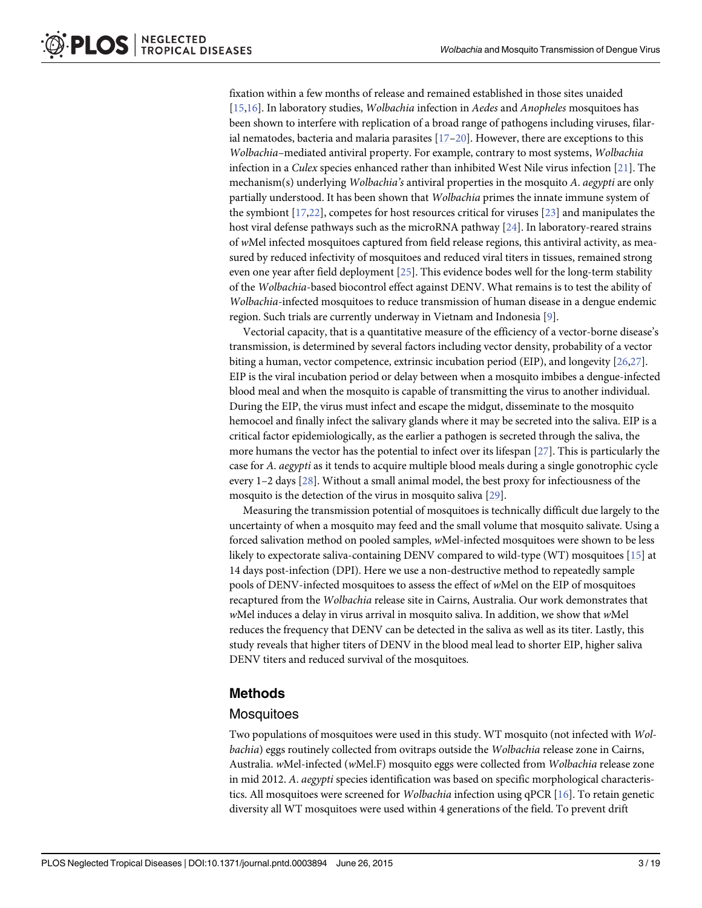<span id="page-2-0"></span>fixation within a few months of release and remained established in those sites unaided [\[15,16\]](#page-16-0). In laboratory studies, Wolbachia infection in Aedes and Anopheles mosquitoes has been shown to interfere with replication of a broad range of pathogens including viruses, filarial nematodes, bacteria and malaria parasites  $[17-20]$  $[17-20]$  $[17-20]$  $[17-20]$ . However, there are exceptions to this Wolbachia–mediated antiviral property. For example, contrary to most systems, Wolbachia infection in a Culex species enhanced rather than inhibited West Nile virus infection [[21\]](#page-16-0). The mechanism(s) underlying Wolbachia's antiviral properties in the mosquito A. aegypti are only partially understood. It has been shown that Wolbachia primes the innate immune system of the symbiont [[17](#page-16-0),[22](#page-16-0)], competes for host resources critical for viruses [\[23](#page-16-0)] and manipulates the host viral defense pathways such as the microRNA pathway [[24](#page-17-0)]. In laboratory-reared strains of wMel infected mosquitoes captured from field release regions, this antiviral activity, as measured by reduced infectivity of mosquitoes and reduced viral titers in tissues, remained strong even one year after field deployment [\[25\]](#page-17-0). This evidence bodes well for the long-term stability of the Wolbachia-based biocontrol effect against DENV. What remains is to test the ability of Wolbachia-infected mosquitoes to reduce transmission of human disease in a dengue endemic region. Such trials are currently underway in Vietnam and Indonesia [\[9](#page-16-0)].

Vectorial capacity, that is a quantitative measure of the efficiency of a vector-borne disease's transmission, is determined by several factors including vector density, probability of a vector biting a human, vector competence, extrinsic incubation period (EIP), and longevity [\[26,27\]](#page-17-0). EIP is the viral incubation period or delay between when a mosquito imbibes a dengue-infected blood meal and when the mosquito is capable of transmitting the virus to another individual. During the EIP, the virus must infect and escape the midgut, disseminate to the mosquito hemocoel and finally infect the salivary glands where it may be secreted into the saliva. EIP is a critical factor epidemiologically, as the earlier a pathogen is secreted through the saliva, the more humans the vector has the potential to infect over its lifespan [\[27\]](#page-17-0). This is particularly the case for A. aegypti as it tends to acquire multiple blood meals during a single gonotrophic cycle every 1–2 days [[28](#page-17-0)]. Without a small animal model, the best proxy for infectiousness of the mosquito is the detection of the virus in mosquito saliva [[29](#page-17-0)].

Measuring the transmission potential of mosquitoes is technically difficult due largely to the uncertainty of when a mosquito may feed and the small volume that mosquito salivate. Using a forced salivation method on pooled samples, wMel-infected mosquitoes were shown to be less likely to expectorate saliva-containing DENV compared to wild-type (WT) mosquitoes [[15\]](#page-16-0) at 14 days post-infection (DPI). Here we use a non-destructive method to repeatedly sample pools of DENV-infected mosquitoes to assess the effect of wMel on the EIP of mosquitoes recaptured from the Wolbachia release site in Cairns, Australia. Our work demonstrates that wMel induces a delay in virus arrival in mosquito saliva. In addition, we show that wMel reduces the frequency that DENV can be detected in the saliva as well as its titer. Lastly, this study reveals that higher titers of DENV in the blood meal lead to shorter EIP, higher saliva DENV titers and reduced survival of the mosquitoes.

## Methods

#### **Mosquitoes**

Two populations of mosquitoes were used in this study. WT mosquito (not infected with Wolbachia) eggs routinely collected from ovitraps outside the Wolbachia release zone in Cairns, Australia. wMel-infected (wMel.F) mosquito eggs were collected from Wolbachia release zone in mid 2012. A. aegypti species identification was based on specific morphological characteristics. All mosquitoes were screened for Wolbachia infection using qPCR [[16](#page-16-0)]. To retain genetic diversity all WT mosquitoes were used within 4 generations of the field. To prevent drift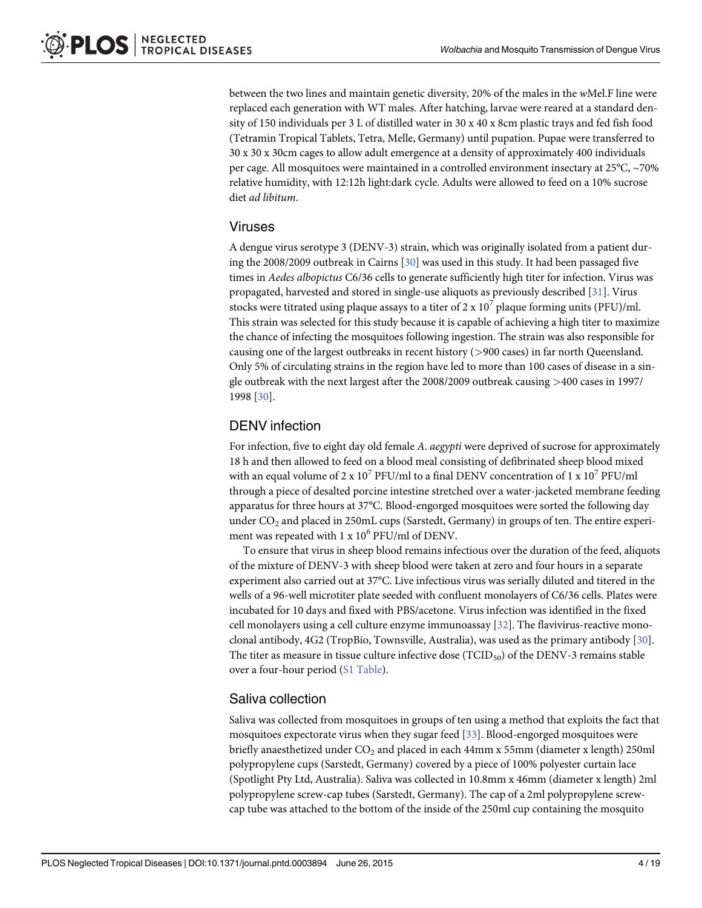<span id="page-3-0"></span>between the two lines and maintain genetic diversity, 20% of the males in the wMel.F line were replaced each generation with WT males. After hatching, larvae were reared at a standard density of 150 individuals per 3 L of distilled water in 30 x 40 x 8cm plastic trays and fed fish food (Tetramin Tropical Tablets, Tetra, Melle, Germany) until pupation. Pupae were transferred to 30 x 30 x 30cm cages to allow adult emergence at a density of approximately 400 individuals per cage. All mosquitoes were maintained in a controlled environment insectary at 25°C, ~70% relative humidity, with 12:12h light:dark cycle. Adults were allowed to feed on a 10% sucrose diet ad libitum.

## Viruses

A dengue virus serotype 3 (DENV-3) strain, which was originally isolated from a patient during the 2008/2009 outbreak in Cairns [\[30\]](#page-17-0) was used in this study. It had been passaged five times in Aedes albopictus C6/36 cells to generate sufficiently high titer for infection. Virus was propagated, harvested and stored in single-use aliquots as previously described [\[31](#page-17-0)]. Virus stocks were titrated using plaque assays to a titer of  $2 \times 10^7$  plaque forming units (PFU)/ml. This strain was selected for this study because it is capable of achieving a high titer to maximize the chance of infecting the mosquitoes following ingestion. The strain was also responsible for causing one of the largest outbreaks in recent history (>900 cases) in far north Queensland. Only 5% of circulating strains in the region have led to more than 100 cases of disease in a single outbreak with the next largest after the 2008/2009 outbreak causing >400 cases in 1997/ 1998 [[30](#page-17-0)].

## DENV infection

For infection, five to eight day old female A. aegypti were deprived of sucrose for approximately 18 h and then allowed to feed on a blood meal consisting of defibrinated sheep blood mixed with an equal volume of 2 x 10<sup>7</sup> PFU/ml to a final DENV concentration of 1 x 10<sup>7</sup> PFU/ml through a piece of desalted porcine intestine stretched over a water-jacketed membrane feeding apparatus for three hours at 37°C. Blood-engorged mosquitoes were sorted the following day under  $CO<sub>2</sub>$  and placed in 250mL cups (Sarstedt, Germany) in groups of ten. The entire experiment was repeated with  $1 \times 10^6$  PFU/ml of DENV.

To ensure that virus in sheep blood remains infectious over the duration of the feed, aliquots of the mixture of DENV-3 with sheep blood were taken at zero and four hours in a separate experiment also carried out at 37°C. Live infectious virus was serially diluted and titered in the wells of a 96-well microtiter plate seeded with confluent monolayers of C6/36 cells. Plates were incubated for 10 days and fixed with PBS/acetone. Virus infection was identified in the fixed cell monolayers using a cell culture enzyme immunoassay  $[32]$  $[32]$  $[32]$ . The flavivirus-reactive monoclonal antibody, 4G2 (TropBio, Townsville, Australia), was used as the primary antibody [[30](#page-17-0)]. The titer as measure in tissue culture infective dose  $(TCID_{50})$  of the DENV-3 remains stable over a four-hour period [\(S1 Table](#page-15-0)).

## Saliva collection

Saliva was collected from mosquitoes in groups of ten using a method that exploits the fact that mosquitoes expectorate virus when they sugar feed [[33](#page-17-0)]. Blood-engorged mosquitoes were briefly anaesthetized under  $CO<sub>2</sub>$  and placed in each 44mm x 55mm (diameter x length) 250ml polypropylene cups (Sarstedt, Germany) covered by a piece of 100% polyester curtain lace (Spotlight Pty Ltd, Australia). Saliva was collected in 10.8mm x 46mm (diameter x length) 2ml polypropylene screw-cap tubes (Sarstedt, Germany). The cap of a 2ml polypropylene screwcap tube was attached to the bottom of the inside of the 250ml cup containing the mosquito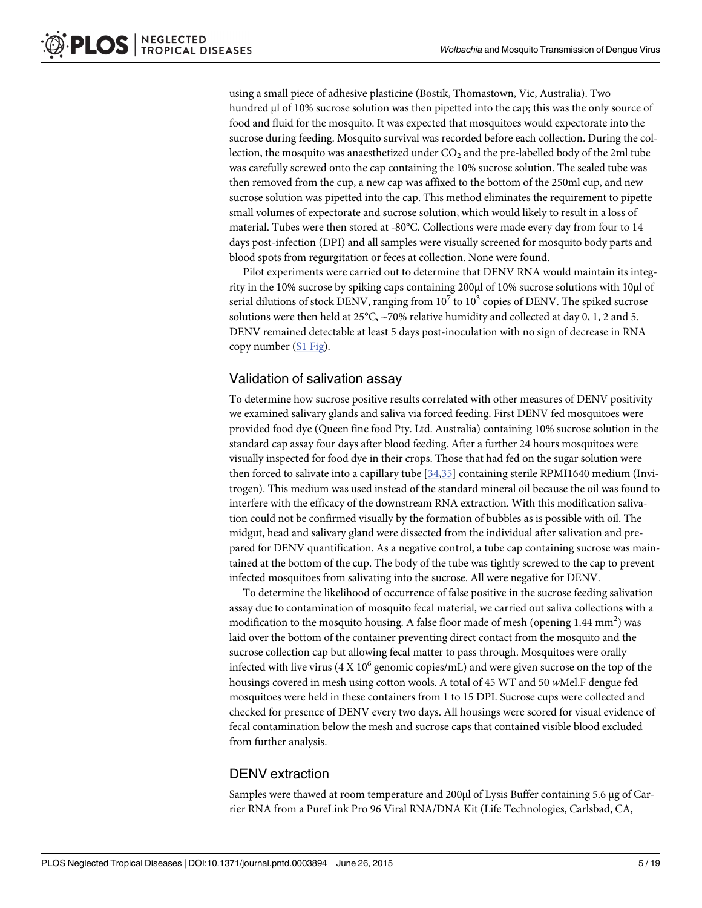<span id="page-4-0"></span>using a small piece of adhesive plasticine (Bostik, Thomastown, Vic, Australia). Two hundred μl of 10% sucrose solution was then pipetted into the cap; this was the only source of food and fluid for the mosquito. It was expected that mosquitoes would expectorate into the sucrose during feeding. Mosquito survival was recorded before each collection. During the collection, the mosquito was anaesthetized under  $CO<sub>2</sub>$  and the pre-labelled body of the 2ml tube was carefully screwed onto the cap containing the 10% sucrose solution. The sealed tube was then removed from the cup, a new cap was affixed to the bottom of the 250ml cup, and new sucrose solution was pipetted into the cap. This method eliminates the requirement to pipette small volumes of expectorate and sucrose solution, which would likely to result in a loss of material. Tubes were then stored at -80°C. Collections were made every day from four to 14 days post-infection (DPI) and all samples were visually screened for mosquito body parts and blood spots from regurgitation or feces at collection. None were found.

Pilot experiments were carried out to determine that DENV RNA would maintain its integrity in the 10% sucrose by spiking caps containing 200μl of 10% sucrose solutions with 10μl of serial dilutions of stock DENV, ranging from  $10^7$  to  $10^3$  copies of DENV. The spiked sucrose solutions were then held at 25°C, ~70% relative humidity and collected at day 0, 1, 2 and 5. DENV remained detectable at least 5 days post-inoculation with no sign of decrease in RNA copy number [\(S1 Fig\)](#page-15-0).

## Validation of salivation assay

To determine how sucrose positive results correlated with other measures of DENV positivity we examined salivary glands and saliva via forced feeding. First DENV fed mosquitoes were provided food dye (Queen fine food Pty. Ltd. Australia) containing 10% sucrose solution in the standard cap assay four days after blood feeding. After a further 24 hours mosquitoes were visually inspected for food dye in their crops. Those that had fed on the sugar solution were then forced to salivate into a capillary tube [\[34,35\]](#page-17-0) containing sterile RPMI1640 medium (Invitrogen). This medium was used instead of the standard mineral oil because the oil was found to interfere with the efficacy of the downstream RNA extraction. With this modification salivation could not be confirmed visually by the formation of bubbles as is possible with oil. The midgut, head and salivary gland were dissected from the individual after salivation and prepared for DENV quantification. As a negative control, a tube cap containing sucrose was maintained at the bottom of the cup. The body of the tube was tightly screwed to the cap to prevent infected mosquitoes from salivating into the sucrose. All were negative for DENV.

To determine the likelihood of occurrence of false positive in the sucrose feeding salivation assay due to contamination of mosquito fecal material, we carried out saliva collections with a modification to the mosquito housing. A false floor made of mesh (opening  $1.44 \text{ mm}^2$ ) was laid over the bottom of the container preventing direct contact from the mosquito and the sucrose collection cap but allowing fecal matter to pass through. Mosquitoes were orally infected with live virus  $(4 \times 10^6 \text{ genomic copies/mL})$  and were given sucrose on the top of the housings covered in mesh using cotton wools. A total of 45 WT and 50 wMel.F dengue fed mosquitoes were held in these containers from 1 to 15 DPI. Sucrose cups were collected and checked for presence of DENV every two days. All housings were scored for visual evidence of fecal contamination below the mesh and sucrose caps that contained visible blood excluded from further analysis.

## DENV extraction

Samples were thawed at room temperature and 200μl of Lysis Buffer containing 5.6 μg of Carrier RNA from a PureLink Pro 96 Viral RNA/DNA Kit (Life Technologies, Carlsbad, CA,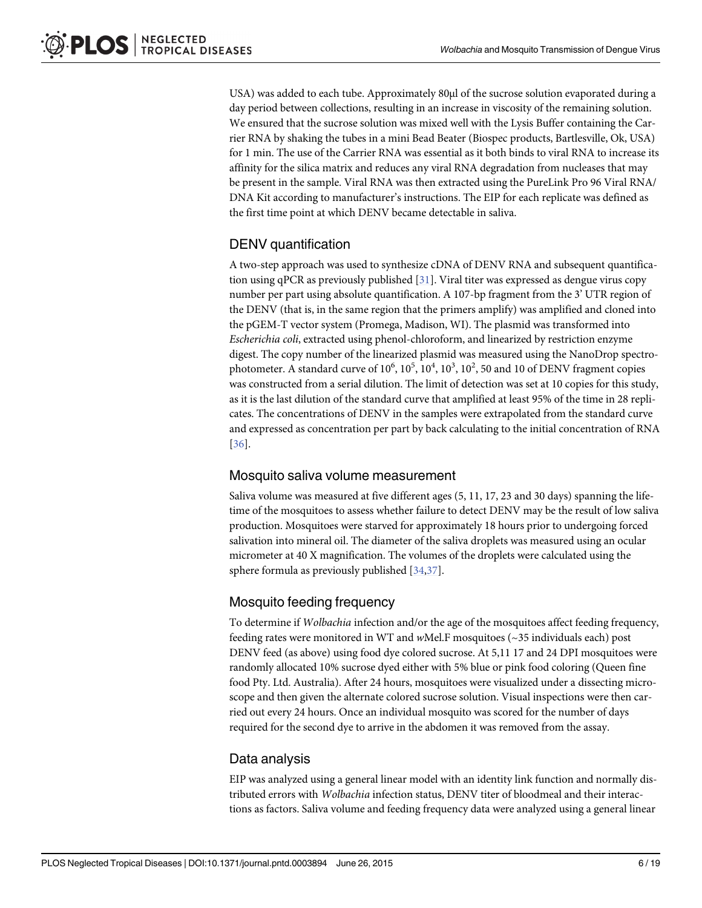<span id="page-5-0"></span>USA) was added to each tube. Approximately 80µl of the sucrose solution evaporated during a day period between collections, resulting in an increase in viscosity of the remaining solution. We ensured that the sucrose solution was mixed well with the Lysis Buffer containing the Carrier RNA by shaking the tubes in a mini Bead Beater (Biospec products, Bartlesville, Ok, USA) for 1 min. The use of the Carrier RNA was essential as it both binds to viral RNA to increase its affinity for the silica matrix and reduces any viral RNA degradation from nucleases that may be present in the sample. Viral RNA was then extracted using the PureLink Pro 96 Viral RNA/ DNA Kit according to manufacturer's instructions. The EIP for each replicate was defined as the first time point at which DENV became detectable in saliva.

## DENV quantification

A two-step approach was used to synthesize cDNA of DENV RNA and subsequent quantification using qPCR as previously published [[31](#page-17-0)]. Viral titer was expressed as dengue virus copy number per part using absolute quantification. A 107-bp fragment from the 3' UTR region of the DENV (that is, in the same region that the primers amplify) was amplified and cloned into the pGEM-T vector system (Promega, Madison, WI). The plasmid was transformed into Escherichia coli, extracted using phenol-chloroform, and linearized by restriction enzyme digest. The copy number of the linearized plasmid was measured using the NanoDrop spectrophotometer. A standard curve of  $10^6$ ,  $10^5$ ,  $10^4$ ,  $10^3$ ,  $10^2$ , 50 and 10 of DENV fragment copies was constructed from a serial dilution. The limit of detection was set at 10 copies for this study, as it is the last dilution of the standard curve that amplified at least 95% of the time in 28 replicates. The concentrations of DENV in the samples were extrapolated from the standard curve and expressed as concentration per part by back calculating to the initial concentration of RNA [\[36](#page-17-0)].

## Mosquito saliva volume measurement

Saliva volume was measured at five different ages (5, 11, 17, 23 and 30 days) spanning the lifetime of the mosquitoes to assess whether failure to detect DENV may be the result of low saliva production. Mosquitoes were starved for approximately 18 hours prior to undergoing forced salivation into mineral oil. The diameter of the saliva droplets was measured using an ocular micrometer at 40 X magnification. The volumes of the droplets were calculated using the sphere formula as previously published [[34,37\]](#page-17-0).

## Mosquito feeding frequency

To determine if Wolbachia infection and/or the age of the mosquitoes affect feeding frequency, feeding rates were monitored in WT and wMel.F mosquitoes (~35 individuals each) post DENV feed (as above) using food dye colored sucrose. At 5,11 17 and 24 DPI mosquitoes were randomly allocated 10% sucrose dyed either with 5% blue or pink food coloring (Queen fine food Pty. Ltd. Australia). After 24 hours, mosquitoes were visualized under a dissecting microscope and then given the alternate colored sucrose solution. Visual inspections were then carried out every 24 hours. Once an individual mosquito was scored for the number of days required for the second dye to arrive in the abdomen it was removed from the assay.

## Data analysis

EIP was analyzed using a general linear model with an identity link function and normally distributed errors with Wolbachia infection status, DENV titer of bloodmeal and their interactions as factors. Saliva volume and feeding frequency data were analyzed using a general linear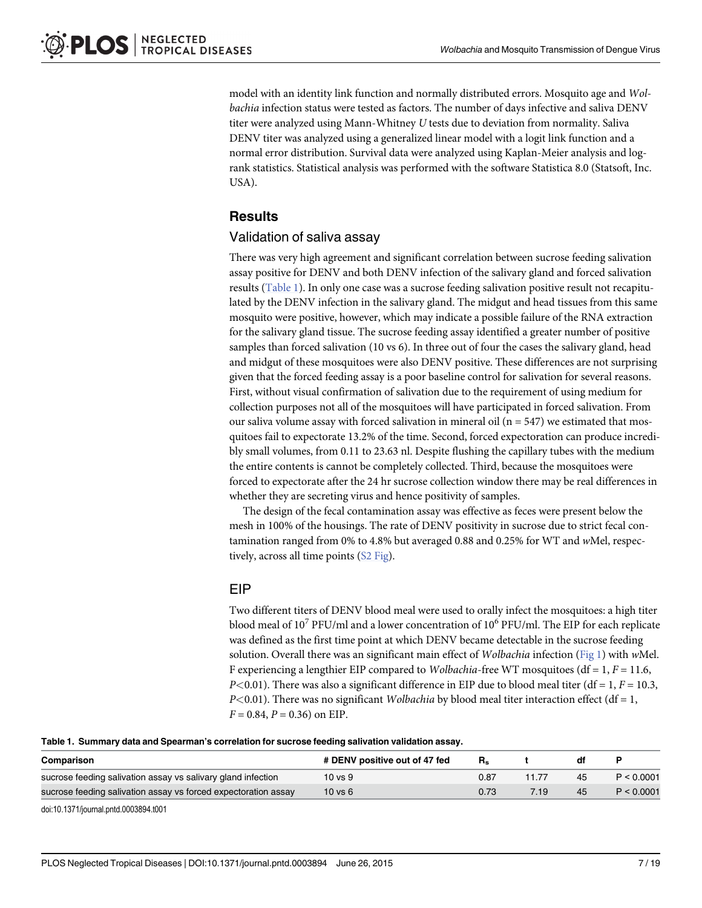<span id="page-6-0"></span>model with an identity link function and normally distributed errors. Mosquito age and Wolbachia infection status were tested as factors. The number of days infective and saliva DENV titer were analyzed using Mann-Whitney U tests due to deviation from normality. Saliva DENV titer was analyzed using a generalized linear model with a logit link function and a normal error distribution. Survival data were analyzed using Kaplan-Meier analysis and logrank statistics. Statistical analysis was performed with the software Statistica 8.0 (Statsoft, Inc. USA).

## **Results**

## Validation of saliva assay

There was very high agreement and significant correlation between sucrose feeding salivation assay positive for DENV and both DENV infection of the salivary gland and forced salivation results (Table 1). In only one case was a sucrose feeding salivation positive result not recapitulated by the DENV infection in the salivary gland. The midgut and head tissues from this same mosquito were positive, however, which may indicate a possible failure of the RNA extraction for the salivary gland tissue. The sucrose feeding assay identified a greater number of positive samples than forced salivation (10 vs 6). In three out of four the cases the salivary gland, head and midgut of these mosquitoes were also DENV positive. These differences are not surprising given that the forced feeding assay is a poor baseline control for salivation for several reasons. First, without visual confirmation of salivation due to the requirement of using medium for collection purposes not all of the mosquitoes will have participated in forced salivation. From our saliva volume assay with forced salivation in mineral oil ( $n = 547$ ) we estimated that mosquitoes fail to expectorate 13.2% of the time. Second, forced expectoration can produce incredibly small volumes, from 0.11 to 23.63 nl. Despite flushing the capillary tubes with the medium the entire contents is cannot be completely collected. Third, because the mosquitoes were forced to expectorate after the 24 hr sucrose collection window there may be real differences in whether they are secreting virus and hence positivity of samples.

The design of the fecal contamination assay was effective as feces were present below the mesh in 100% of the housings. The rate of DENV positivity in sucrose due to strict fecal contamination ranged from 0% to 4.8% but averaged 0.88 and 0.25% for WT and wMel, respectively, across all time points ([S2 Fig\)](#page-15-0).

## EIP

Two different titers of DENV blood meal were used to orally infect the mosquitoes: a high titer blood meal of 10<sup>7</sup> PFU/ml and a lower concentration of 10<sup>6</sup> PFU/ml. The EIP for each replicate was defined as the first time point at which DENV became detectable in the sucrose feeding solution. Overall there was an significant main effect of Wolbachia infection ([Fig 1](#page-7-0)) with wMel. F experiencing a lengthier EIP compared to *Wolbachia*-free WT mosquitoes ( $df = 1, F = 11.6$ ,  $P<0.01$ ). There was also a significant difference in EIP due to blood meal titer (df = 1, F = 10.3,  $P<0.01$ ). There was no significant *Wolbachia* by blood meal titer interaction effect (df = 1,  $F = 0.84$ ,  $P = 0.36$ ) on EIP.

Table 1. Summary data and Spearman's correlation for sucrose feeding salivation validation assay.

| Comparison                                                     | # DENV positive out of 47 fed | R.   |    |            |
|----------------------------------------------------------------|-------------------------------|------|----|------------|
| sucrose feeding salivation assay vs salivary gland infection   | 10 vs 9                       | 0.87 | 45 | P < 0.0001 |
| sucrose feeding salivation assay vs forced expectoration assay | $10$ vs $6$                   | 0.73 | 45 | P < 0.0001 |

doi:10.1371/journal.pntd.0003894.t001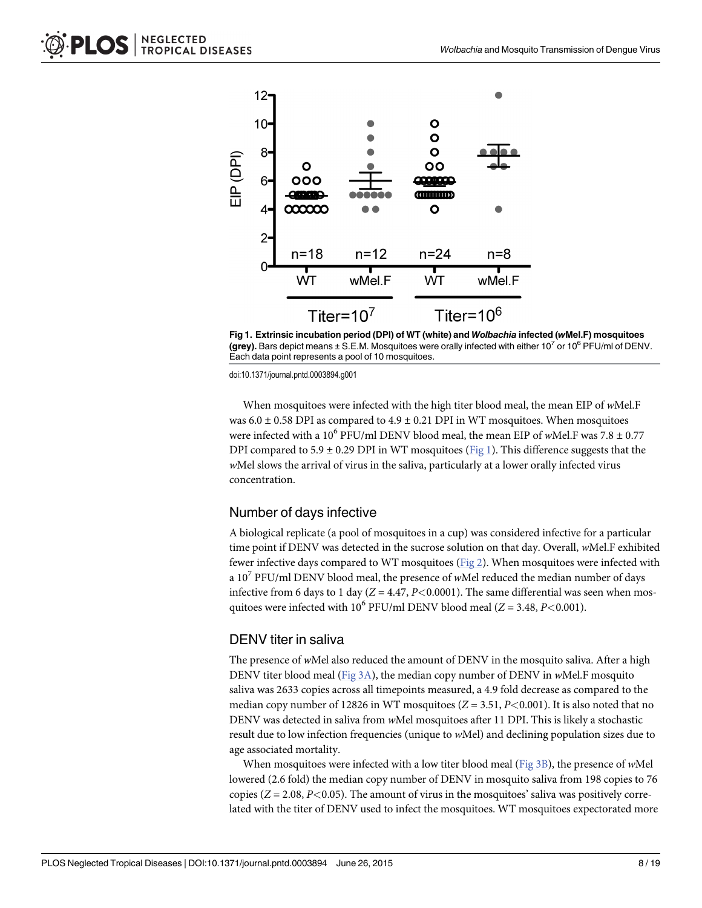<span id="page-7-0"></span>

[Fig 1. E](#page-6-0)xtrinsic incubation period (DPI) of WT (white) and Wolbachia infected (wMel.F) mosquitoes (grey). Bars depict means  $\pm$  S.E.M. Mosquitoes were orally infected with either 10<sup>7</sup> or 10<sup>6</sup> PFU/ml of DENV. Each data point represents a pool of 10 mosquitoes.

When mosquitoes were infected with the high titer blood meal, the mean EIP of wMel.F was  $6.0 \pm 0.58$  DPI as compared to  $4.9 \pm 0.21$  DPI in WT mosquitoes. When mosquitoes were infected with a 10<sup>6</sup> PFU/ml DENV blood meal, the mean EIP of wMel.F was  $7.8 \pm 0.77$ DPI compared to 5.9  $\pm$  0.29 DPI in WT mosquitoes (Fig 1). This difference suggests that the wMel slows the arrival of virus in the saliva, particularly at a lower orally infected virus concentration.

#### Number of days infective

A biological replicate (a pool of mosquitoes in a cup) was considered infective for a particular time point if DENV was detected in the sucrose solution on that day. Overall, wMel.F exhibited fewer infective days compared to WT mosquitoes [\(Fig 2\)](#page-8-0). When mosquitoes were infected with a  $10^7$  PFU/ml DENV blood meal, the presence of wMel reduced the median number of days infective from 6 days to 1 day ( $Z = 4.47$ ,  $P < 0.0001$ ). The same differential was seen when mosquitoes were infected with 10<sup>6</sup> PFU/ml DENV blood meal ( $Z = 3.48, P < 0.001$ ).

#### DENV titer in saliva

The presence of wMel also reduced the amount of DENV in the mosquito saliva. After a high DENV titer blood meal ([Fig 3A](#page-9-0)), the median copy number of DENV in  $w$ Mel.F mosquito saliva was 2633 copies across all timepoints measured, a 4.9 fold decrease as compared to the median copy number of 12826 in WT mosquitoes  $(Z = 3.51, P < 0.001)$ . It is also noted that no DENV was detected in saliva from wMel mosquitoes after 11 DPI. This is likely a stochastic result due to low infection frequencies (unique to wMel) and declining population sizes due to age associated mortality.

When mosquitoes were infected with a low titer blood meal ([Fig 3B](#page-9-0)), the presence of wMel lowered (2.6 fold) the median copy number of DENV in mosquito saliva from 198 copies to 76 copies ( $Z = 2.08$ ,  $P < 0.05$ ). The amount of virus in the mosquitoes' saliva was positively correlated with the titer of DENV used to infect the mosquitoes. WT mosquitoes expectorated more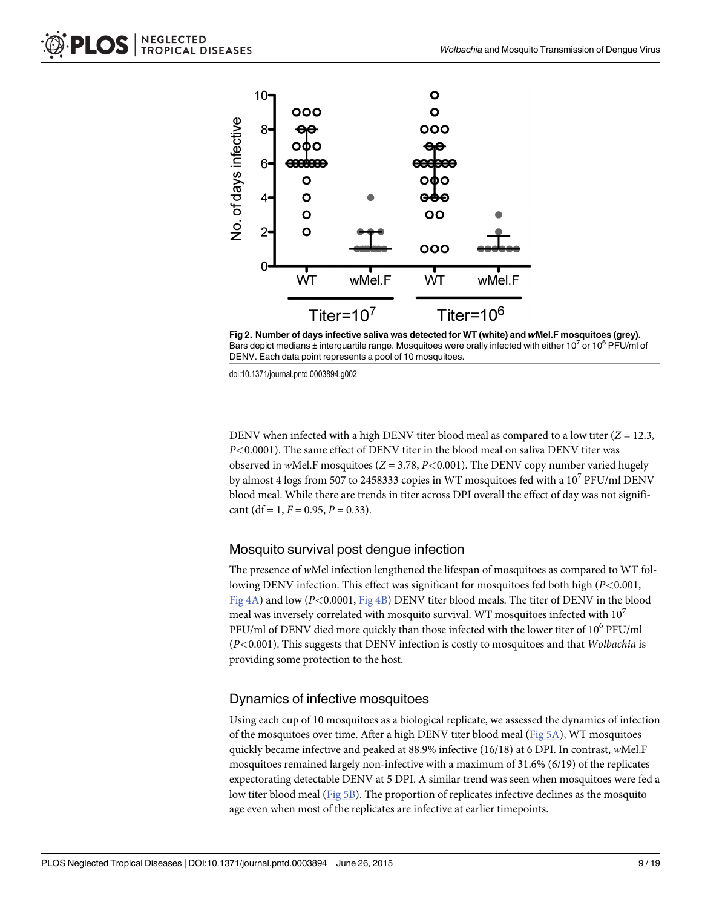<span id="page-8-0"></span>

[Fig 2. N](#page-7-0)umber of days infective saliva was detected for WT (white) and wMel.F mosquitoes (grey). Bars depict medians  $\pm$  interquartile range. Mosquitoes were orally infected with either 10<sup>7</sup> or 10<sup>6</sup> PFU/ml of DENV. Each data point represents a pool of 10 mosquitoes.

DENV when infected with a high DENV titer blood meal as compared to a low titer ( $Z = 12.3$ , P<0.0001). The same effect of DENV titer in the blood meal on saliva DENV titer was observed in wMel.F mosquitoes ( $Z = 3.78$ ,  $P < 0.001$ ). The DENV copy number varied hugely by almost 4 logs from 507 to 2458333 copies in WT mosquitoes fed with a  $10^7$  PFU/ml DENV blood meal. While there are trends in titer across DPI overall the effect of day was not significant (df = 1,  $F = 0.95$ ,  $P = 0.33$ ).

#### Mosquito survival post dengue infection

The presence of wMel infection lengthened the lifespan of mosquitoes as compared to WT following DENV infection. This effect was significant for mosquitoes fed both high (P<0.001, Fig  $4A$ ) and low (P<0.0001, Fig  $4B$ ) DENV titer blood meals. The titer of DENV in the blood meal was inversely correlated with mosquito survival. WT mosquitoes infected with  $10<sup>7</sup>$ PFU/ml of DENV died more quickly than those infected with the lower titer of 10<sup>6</sup> PFU/ml  $(P<0.001)$ . This suggests that DENV infection is costly to mosquitoes and that Wolbachia is providing some protection to the host.

## Dynamics of infective mosquitoes

Using each cup of 10 mosquitoes as a biological replicate, we assessed the dynamics of infection of the mosquitoes over time. After a high DENV titer blood meal ([Fig 5A](#page-11-0)), WT mosquitoes quickly became infective and peaked at 88.9% infective (16/18) at 6 DPI. In contrast, wMel.F mosquitoes remained largely non-infective with a maximum of 31.6% (6/19) of the replicates expectorating detectable DENV at 5 DPI. A similar trend was seen when mosquitoes were fed a low titer blood meal ([Fig 5B](#page-11-0)). The proportion of replicates infective declines as the mosquito age even when most of the replicates are infective at earlier timepoints.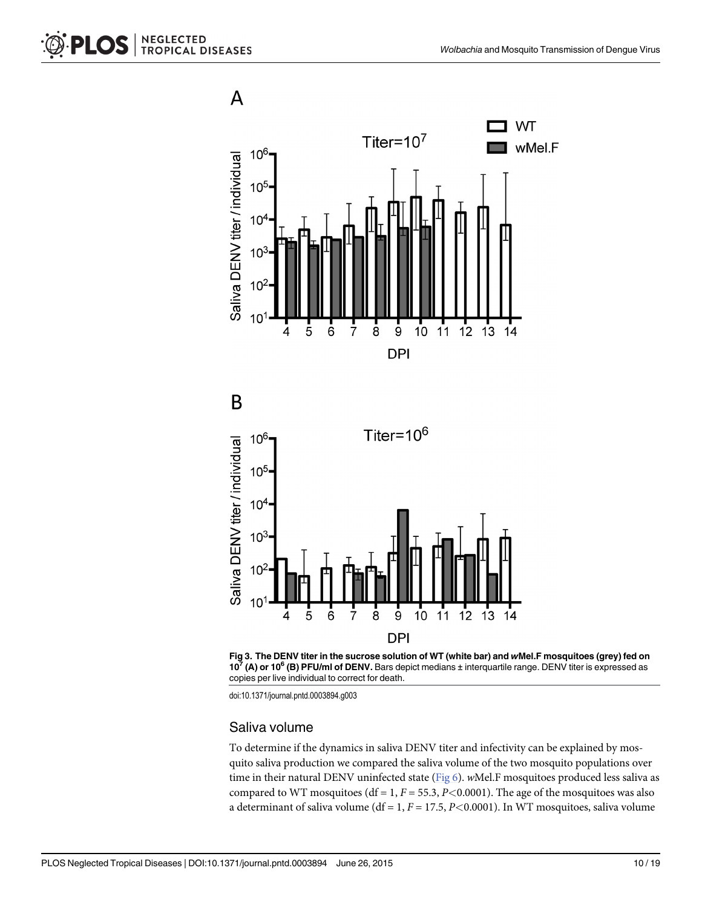<span id="page-9-0"></span>



#### Saliva volume

To determine if the dynamics in saliva DENV titer and infectivity can be explained by mosquito saliva production we compared the saliva volume of the two mosquito populations over time in their natural DENV uninfected state ( $Fig 6$ ). wMel.F mosquitoes produced less saliva as compared to WT mosquitoes (df = 1,  $F = 55.3$ ,  $P < 0.0001$ ). The age of the mosquitoes was also a determinant of saliva volume (df = 1,  $F = 17.5$ ,  $P < 0.0001$ ). In WT mosquitoes, saliva volume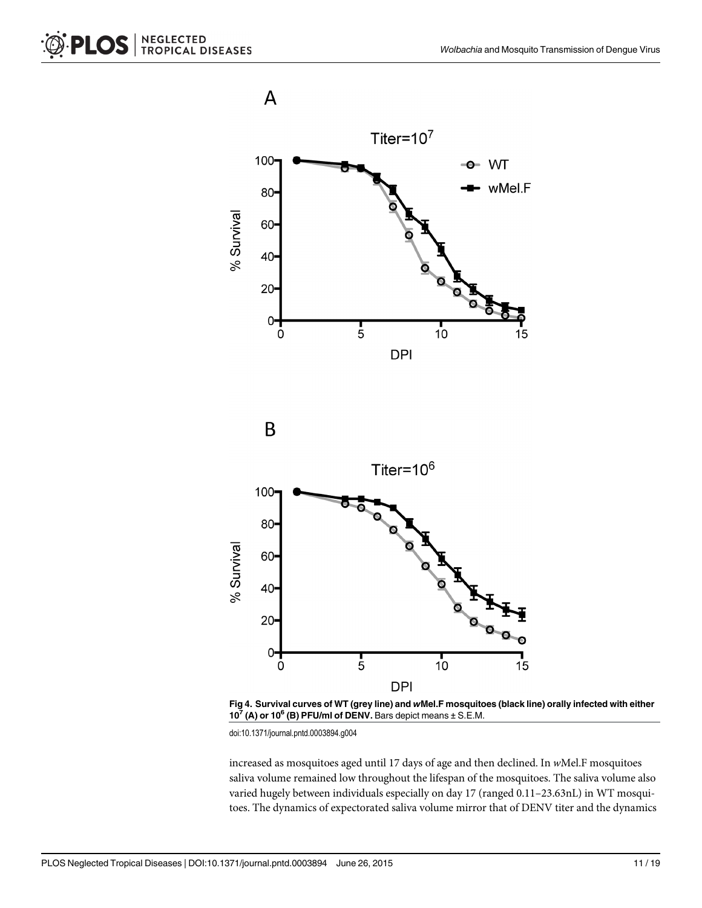<span id="page-10-0"></span>





[Fig 4. S](#page-8-0)urvival curves of WT (grey line) and wMel.F mosquitoes (black line) orally infected with either  $10^7$  (A) or 10<sup>6</sup> (B) PFU/ml of DENV. Bars depict means  $\pm$  S.E.M.

increased as mosquitoes aged until 17 days of age and then declined. In wMel.F mosquitoes saliva volume remained low throughout the lifespan of the mosquitoes. The saliva volume also varied hugely between individuals especially on day 17 (ranged 0.11–23.63nL) in WT mosquitoes. The dynamics of expectorated saliva volume mirror that of DENV titer and the dynamics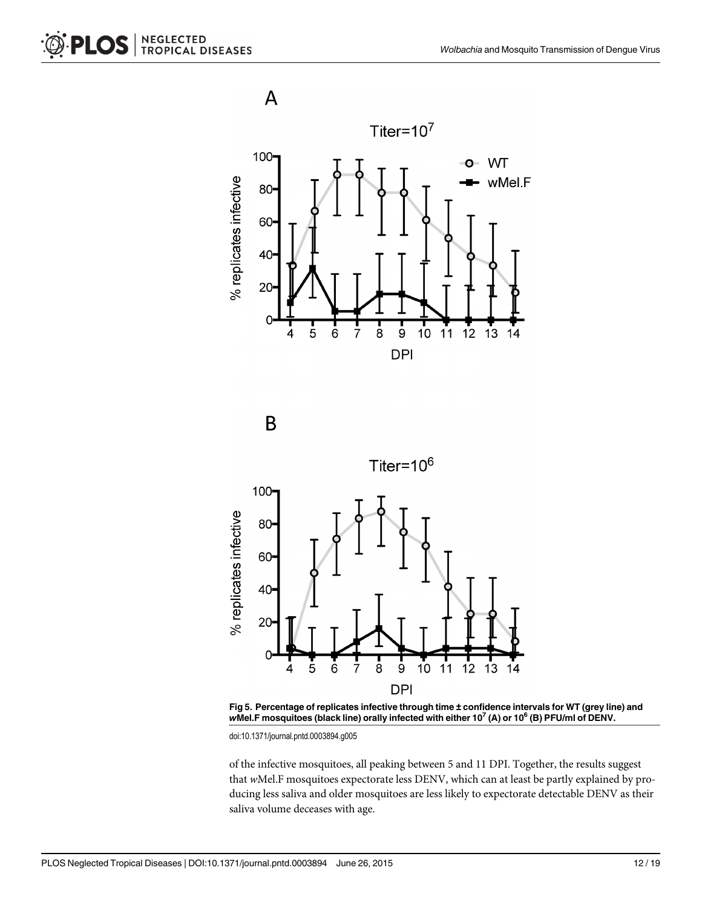<span id="page-11-0"></span>

B







doi:10.1371/journal.pntd.0003894.g005

of the infective mosquitoes, all peaking between 5 and 11 DPI. Together, the results suggest that wMel.F mosquitoes expectorate less DENV, which can at least be partly explained by producing less saliva and older mosquitoes are less likely to expectorate detectable DENV as their saliva volume deceases with age.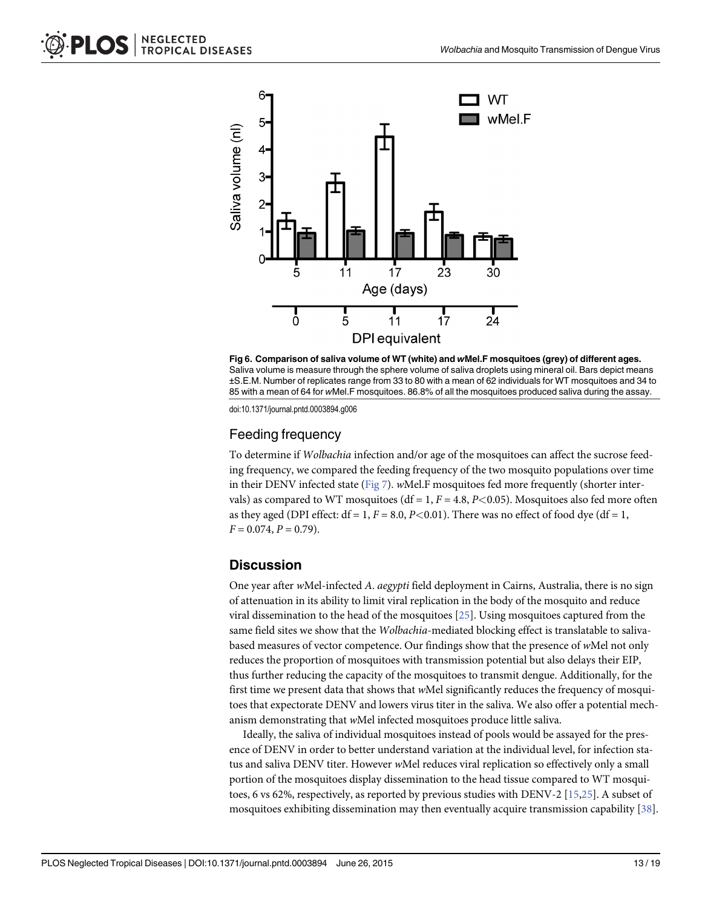<span id="page-12-0"></span>



## Feeding frequency

To determine if Wolbachia infection and/or age of the mosquitoes can affect the sucrose feeding frequency, we compared the feeding frequency of the two mosquito populations over time in their DENV infected state ( $Fig 7$ ). wMel.F mosquitoes fed more frequently (shorter intervals) as compared to WT mosquitoes (df = 1,  $F = 4.8$ ,  $P < 0.05$ ). Mosquitoes also fed more often as they aged (DPI effect:  $df = 1$ ,  $F = 8.0$ ,  $P < 0.01$ ). There was no effect of food dye ( $df = 1$ ,  $F = 0.074, P = 0.79$ .

#### **Discussion**

One year after wMel-infected A. aegypti field deployment in Cairns, Australia, there is no sign of attenuation in its ability to limit viral replication in the body of the mosquito and reduce viral dissemination to the head of the mosquitoes [\[25\]](#page-17-0). Using mosquitoes captured from the same field sites we show that the Wolbachia-mediated blocking effect is translatable to salivabased measures of vector competence. Our findings show that the presence of wMel not only reduces the proportion of mosquitoes with transmission potential but also delays their EIP, thus further reducing the capacity of the mosquitoes to transmit dengue. Additionally, for the first time we present data that shows that wMel significantly reduces the frequency of mosquitoes that expectorate DENV and lowers virus titer in the saliva. We also offer a potential mechanism demonstrating that wMel infected mosquitoes produce little saliva.

Ideally, the saliva of individual mosquitoes instead of pools would be assayed for the presence of DENV in order to better understand variation at the individual level, for infection status and saliva DENV titer. However wMel reduces viral replication so effectively only a small portion of the mosquitoes display dissemination to the head tissue compared to WT mosquitoes, 6 vs 62%, respectively, as reported by previous studies with DENV-2 [[15](#page-16-0)[,25\]](#page-17-0). A subset of mosquitoes exhibiting dissemination may then eventually acquire transmission capability [\[38\]](#page-17-0).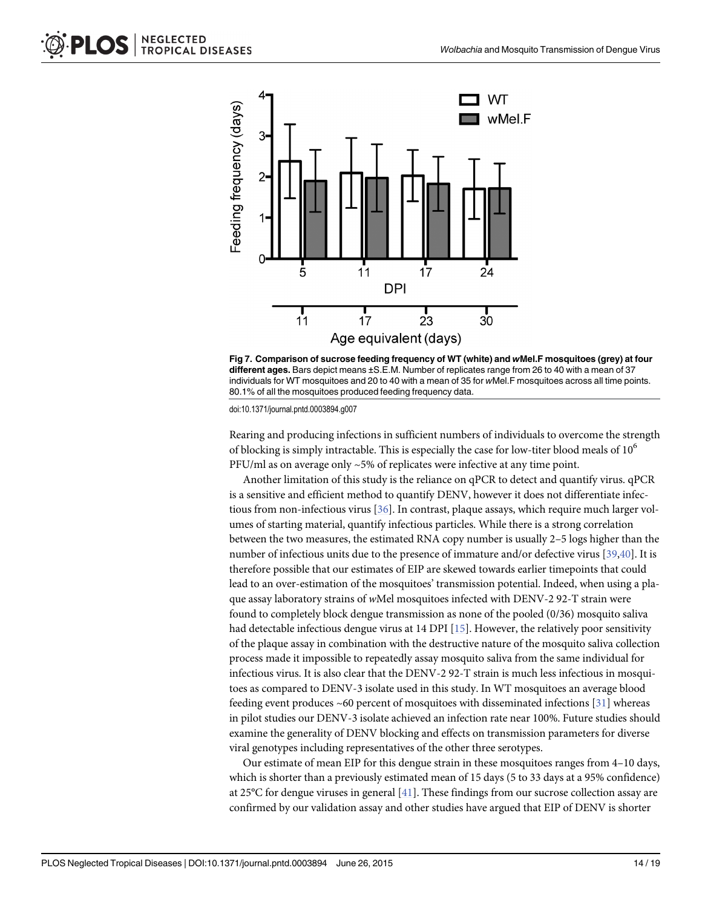<span id="page-13-0"></span>



Rearing and producing infections in sufficient numbers of individuals to overcome the strength of blocking is simply intractable. This is especially the case for low-titer blood meals of  $10^6$ PFU/ml as on average only ~5% of replicates were infective at any time point.

Another limitation of this study is the reliance on qPCR to detect and quantify virus. qPCR is a sensitive and efficient method to quantify DENV, however it does not differentiate infectious from non-infectious virus [\[36\]](#page-17-0). In contrast, plaque assays, which require much larger volumes of starting material, quantify infectious particles. While there is a strong correlation between the two measures, the estimated RNA copy number is usually 2–5 logs higher than the number of infectious units due to the presence of immature and/or defective virus [[39](#page-17-0),[40](#page-17-0)]. It is therefore possible that our estimates of EIP are skewed towards earlier timepoints that could lead to an over-estimation of the mosquitoes' transmission potential. Indeed, when using a plaque assay laboratory strains of wMel mosquitoes infected with DENV-2 92-T strain were found to completely block dengue transmission as none of the pooled (0/36) mosquito saliva had detectable infectious dengue virus at 14 DPI [\[15\]](#page-16-0). However, the relatively poor sensitivity of the plaque assay in combination with the destructive nature of the mosquito saliva collection process made it impossible to repeatedly assay mosquito saliva from the same individual for infectious virus. It is also clear that the DENV-2 92-T strain is much less infectious in mosquitoes as compared to DENV-3 isolate used in this study. In WT mosquitoes an average blood feeding event produces  $~60$  percent of mosquitoes with disseminated infections [[31](#page-17-0)] whereas in pilot studies our DENV-3 isolate achieved an infection rate near 100%. Future studies should examine the generality of DENV blocking and effects on transmission parameters for diverse viral genotypes including representatives of the other three serotypes.

Our estimate of mean EIP for this dengue strain in these mosquitoes ranges from 4–10 days, which is shorter than a previously estimated mean of 15 days (5 to 33 days at a 95% confidence) at 25°C for dengue viruses in general [[41](#page-17-0)]. These findings from our sucrose collection assay are confirmed by our validation assay and other studies have argued that EIP of DENV is shorter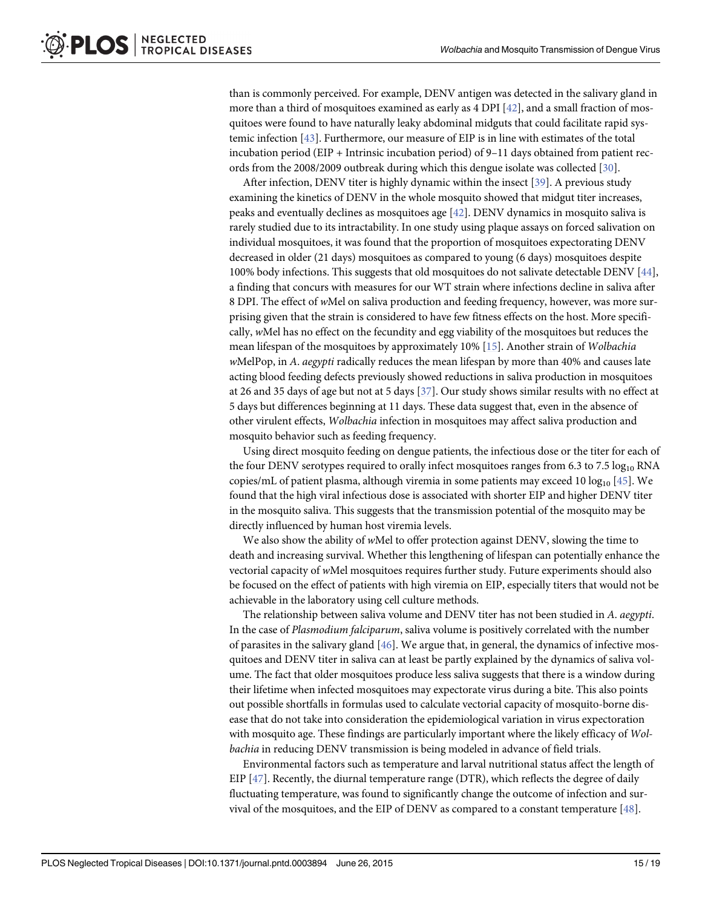<span id="page-14-0"></span>than is commonly perceived. For example, DENV antigen was detected in the salivary gland in more than a third of mosquitoes examined as early as 4 DPI  $[42]$  $[42]$  $[42]$ , and a small fraction of mosquitoes were found to have naturally leaky abdominal midguts that could facilitate rapid systemic infection [\[43\]](#page-17-0). Furthermore, our measure of EIP is in line with estimates of the total incubation period (EIP + Intrinsic incubation period) of 9–11 days obtained from patient records from the 2008/2009 outbreak during which this dengue isolate was collected [[30](#page-17-0)].

After infection, DENV titer is highly dynamic within the insect [\[39\]](#page-17-0). A previous study examining the kinetics of DENV in the whole mosquito showed that midgut titer increases, peaks and eventually declines as mosquitoes age [\[42\]](#page-17-0). DENV dynamics in mosquito saliva is rarely studied due to its intractability. In one study using plaque assays on forced salivation on individual mosquitoes, it was found that the proportion of mosquitoes expectorating DENV decreased in older (21 days) mosquitoes as compared to young (6 days) mosquitoes despite 100% body infections. This suggests that old mosquitoes do not salivate detectable DENV [\[44\]](#page-17-0), a finding that concurs with measures for our WT strain where infections decline in saliva after 8 DPI. The effect of wMel on saliva production and feeding frequency, however, was more surprising given that the strain is considered to have few fitness effects on the host. More specifically, wMel has no effect on the fecundity and egg viability of the mosquitoes but reduces the mean lifespan of the mosquitoes by approximately  $10\%$  [\[15\]](#page-16-0). Another strain of Wolbachia wMelPop, in A. *aegypti* radically reduces the mean lifespan by more than 40% and causes late acting blood feeding defects previously showed reductions in saliva production in mosquitoes at 26 and 35 days of age but not at 5 days [\[37\]](#page-17-0). Our study shows similar results with no effect at 5 days but differences beginning at 11 days. These data suggest that, even in the absence of other virulent effects, Wolbachia infection in mosquitoes may affect saliva production and mosquito behavior such as feeding frequency.

Using direct mosquito feeding on dengue patients, the infectious dose or the titer for each of the four DENV serotypes required to orally infect mosquitoes ranges from 6.3 to 7.5  $log_{10}$  RNA copies/mL of patient plasma, although viremia in some patients may exceed 10  $log_{10}$  [\[45\]](#page-17-0). We found that the high viral infectious dose is associated with shorter EIP and higher DENV titer in the mosquito saliva. This suggests that the transmission potential of the mosquito may be directly influenced by human host viremia levels.

We also show the ability of wMel to offer protection against DENV, slowing the time to death and increasing survival. Whether this lengthening of lifespan can potentially enhance the vectorial capacity of wMel mosquitoes requires further study. Future experiments should also be focused on the effect of patients with high viremia on EIP, especially titers that would not be achievable in the laboratory using cell culture methods.

The relationship between saliva volume and DENV titer has not been studied in A. aegypti. In the case of Plasmodium falciparum, saliva volume is positively correlated with the number of parasites in the salivary gland [\[46\]](#page-18-0). We argue that, in general, the dynamics of infective mosquitoes and DENV titer in saliva can at least be partly explained by the dynamics of saliva volume. The fact that older mosquitoes produce less saliva suggests that there is a window during their lifetime when infected mosquitoes may expectorate virus during a bite. This also points out possible shortfalls in formulas used to calculate vectorial capacity of mosquito-borne disease that do not take into consideration the epidemiological variation in virus expectoration with mosquito age. These findings are particularly important where the likely efficacy of Wolbachia in reducing DENV transmission is being modeled in advance of field trials.

Environmental factors such as temperature and larval nutritional status affect the length of EIP [\[47\]](#page-18-0). Recently, the diurnal temperature range (DTR), which reflects the degree of daily fluctuating temperature, was found to significantly change the outcome of infection and survival of the mosquitoes, and the EIP of DENV as compared to a constant temperature  $[48]$  $[48]$  $[48]$ .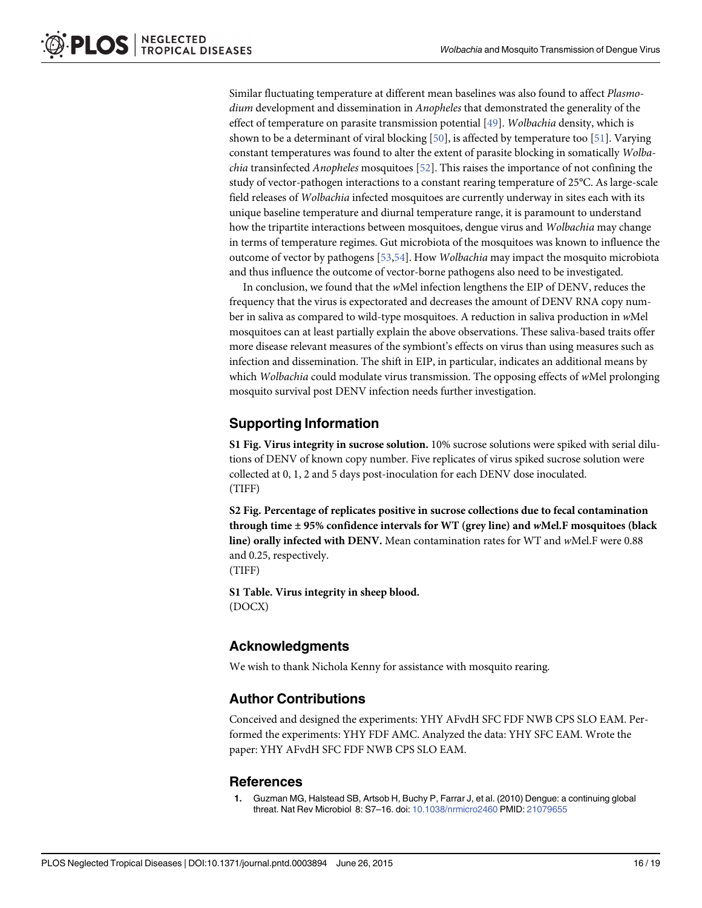<span id="page-15-0"></span>Similar fluctuating temperature at different mean baselines was also found to affect Plasmodium development and dissemination in Anopheles that demonstrated the generality of the effect of temperature on parasite transmission potential [[49\]](#page-18-0). Wolbachia density, which is shown to be a determinant of viral blocking  $[50]$  $[50]$  $[50]$ , is affected by temperature too  $[51]$ . Varying constant temperatures was found to alter the extent of parasite blocking in somatically Wolba*chia* transinfected *Anopheles* mosquitoes  $[52]$ . This raises the importance of not confining the study of vector-pathogen interactions to a constant rearing temperature of 25°C. As large-scale field releases of Wolbachia infected mosquitoes are currently underway in sites each with its unique baseline temperature and diurnal temperature range, it is paramount to understand how the tripartite interactions between mosquitoes, dengue virus and Wolbachia may change in terms of temperature regimes. Gut microbiota of the mosquitoes was known to influence the outcome of vector by pathogens [\[53,54](#page-18-0)]. How Wolbachia may impact the mosquito microbiota and thus influence the outcome of vector-borne pathogens also need to be investigated.

In conclusion, we found that the wMel infection lengthens the EIP of DENV, reduces the frequency that the virus is expectorated and decreases the amount of DENV RNA copy number in saliva as compared to wild-type mosquitoes. A reduction in saliva production in wMel mosquitoes can at least partially explain the above observations. These saliva-based traits offer more disease relevant measures of the symbiont's effects on virus than using measures such as infection and dissemination. The shift in EIP, in particular, indicates an additional means by which Wolbachia could modulate virus transmission. The opposing effects of wMel prolonging mosquito survival post DENV infection needs further investigation.

## Supporting Information

[S1 Fig.](http://www.plosone.org/article/fetchSingleRepresentation.action?uri=info:doi/10.1371/journal.pntd.0003894.s001) Virus integrity in sucrose solution. 10% sucrose solutions were spiked with serial dilutions of DENV of known copy number. Five replicates of virus spiked sucrose solution were collected at 0, 1, 2 and 5 days post-inoculation for each DENV dose inoculated. (TIFF)

[S2 Fig.](http://www.plosone.org/article/fetchSingleRepresentation.action?uri=info:doi/10.1371/journal.pntd.0003894.s002) Percentage of replicates positive in sucrose collections due to fecal contamination through time  $\pm$  95% confidence intervals for WT (grey line) and wMel.F mosquitoes (black line) orally infected with DENV. Mean contamination rates for WT and wMel.F were 0.88 and 0.25, respectively.

(TIFF)

[S1 Table](http://www.plosone.org/article/fetchSingleRepresentation.action?uri=info:doi/10.1371/journal.pntd.0003894.s003). Virus integrity in sheep blood. (DOCX)

## Acknowledgments

We wish to thank Nichola Kenny for assistance with mosquito rearing.

## Author Contributions

Conceived and designed the experiments: YHY AFvdH SFC FDF NWB CPS SLO EAM. Performed the experiments: YHY FDF AMC. Analyzed the data: YHY SFC EAM. Wrote the paper: YHY AFvdH SFC FDF NWB CPS SLO EAM.

#### **References**

[1.](#page-1-0) Guzman MG, Halstead SB, Artsob H, Buchy P, Farrar J, et al. (2010) Dengue: a continuing global threat. Nat Rev Microbiol 8: S7-16. doi: [10.1038/nrmicro2460](http://dx.doi.org/10.1038/nrmicro2460) PMID: [21079655](http://www.ncbi.nlm.nih.gov/pubmed/21079655)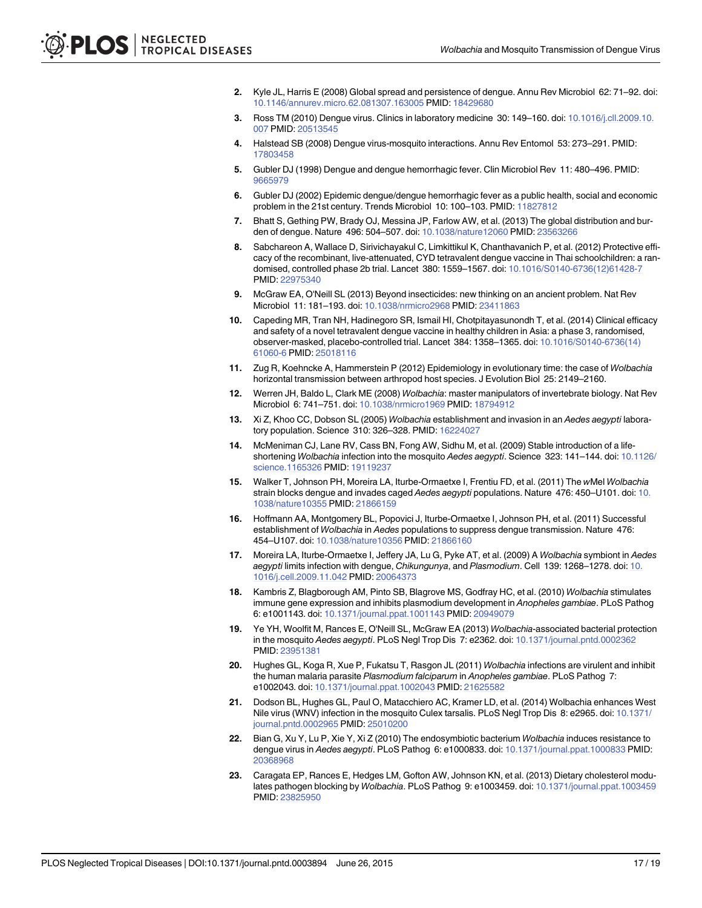- <span id="page-16-0"></span>[2.](#page-1-0) Kyle JL, Harris E (2008) Global spread and persistence of dengue. Annu Rev Microbiol 62: 71–92. doi: [10.1146/annurev.micro.62.081307.163005](http://dx.doi.org/10.1146/annurev.micro.62.081307.163005) PMID: [18429680](http://www.ncbi.nlm.nih.gov/pubmed/18429680)
- 3. Ross TM (2010) Dengue virus. Clinics in laboratory medicine 30: 149–160. doi: [10.1016/j.cll.2009.10.](http://dx.doi.org/10.1016/j.cll.2009.10.007) [007](http://dx.doi.org/10.1016/j.cll.2009.10.007) PMID: [20513545](http://www.ncbi.nlm.nih.gov/pubmed/20513545)
- [4.](#page-1-0) Halstead SB (2008) Dengue virus-mosquito interactions. Annu Rev Entomol 53: 273–291. PMID: [17803458](http://www.ncbi.nlm.nih.gov/pubmed/17803458)
- [5.](#page-1-0) Gubler DJ (1998) Dengue and dengue hemorrhagic fever. Clin Microbiol Rev 11: 480–496. PMID: [9665979](http://www.ncbi.nlm.nih.gov/pubmed/9665979)
- [6.](#page-1-0) Gubler DJ (2002) Epidemic dengue/dengue hemorrhagic fever as a public health, social and economic problem in the 21st century. Trends Microbiol 10: 100–103. PMID: [11827812](http://www.ncbi.nlm.nih.gov/pubmed/11827812)
- [7.](#page-1-0) Bhatt S, Gething PW, Brady OJ, Messina JP, Farlow AW, et al. (2013) The global distribution and burden of dengue. Nature 496: 504–507. doi: [10.1038/nature12060](http://dx.doi.org/10.1038/nature12060) PMID: [23563266](http://www.ncbi.nlm.nih.gov/pubmed/23563266)
- [8.](#page-1-0) Sabchareon A, Wallace D, Sirivichayakul C, Limkittikul K, Chanthavanich P, et al. (2012) Protective efficacy of the recombinant, live-attenuated, CYD tetravalent dengue vaccine in Thai schoolchildren: a randomised, controlled phase 2b trial. Lancet 380: 1559–1567. doi: [10.1016/S0140-6736\(12\)61428-7](http://dx.doi.org/10.1016/S0140-6736(12)61428-7) PMID: [22975340](http://www.ncbi.nlm.nih.gov/pubmed/22975340)
- [9.](#page-1-0) McGraw EA, O'Neill SL (2013) Beyond insecticides: new thinking on an ancient problem. Nat Rev Microbiol 11: 181–193. doi: [10.1038/nrmicro2968](http://dx.doi.org/10.1038/nrmicro2968) PMID: [23411863](http://www.ncbi.nlm.nih.gov/pubmed/23411863)
- [10.](#page-1-0) Capeding MR, Tran NH, Hadinegoro SR, Ismail HI, Chotpitayasunondh T, et al. (2014) Clinical efficacy and safety of a novel tetravalent dengue vaccine in healthy children in Asia: a phase 3, randomised, observer-masked, placebo-controlled trial. Lancet 384: 1358–1365. doi: [10.1016/S0140-6736\(14\)](http://dx.doi.org/10.1016/S0140-6736(14)61060-6) [61060-6](http://dx.doi.org/10.1016/S0140-6736(14)61060-6) PMID: [25018116](http://www.ncbi.nlm.nih.gov/pubmed/25018116)
- [11.](#page-1-0) Zug R, Koehncke A, Hammerstein P (2012) Epidemiology in evolutionary time: the case of Wolbachia horizontal transmission between arthropod host species. J Evolution Biol 25: 2149–2160.
- [12.](#page-1-0) Werren JH, Baldo L, Clark ME (2008) Wolbachia: master manipulators of invertebrate biology. Nat Rev Microbiol 6: 741–751. doi: [10.1038/nrmicro1969](http://dx.doi.org/10.1038/nrmicro1969) PMID: [18794912](http://www.ncbi.nlm.nih.gov/pubmed/18794912)
- [13.](#page-1-0) Xi Z, Khoo CC, Dobson SL (2005) Wolbachia establishment and invasion in an Aedes aegypti laboratory population. Science 310: 326–328. PMID: [16224027](http://www.ncbi.nlm.nih.gov/pubmed/16224027)
- 14. McMeniman CJ, Lane RV, Cass BN, Fong AW, Sidhu M, et al. (2009) Stable introduction of a life-shortening Wolbachia infection into the mosquito Aedes aegypti. Science 323: 141-144. doi: [10.1126/](http://dx.doi.org/10.1126/science.1165326) [science.1165326](http://dx.doi.org/10.1126/science.1165326) PMID: [19119237](http://www.ncbi.nlm.nih.gov/pubmed/19119237)
- [15.](#page-1-0) Walker T, Johnson PH, Moreira LA, Iturbe-Ormaetxe I, Frentiu FD, et al. (2011) The wMel Wolbachia strain blocks dengue and invades caged Aedes aegypti populations. Nature 476: 450-U101. doi: [10.](http://dx.doi.org/10.1038/nature10355) [1038/nature10355](http://dx.doi.org/10.1038/nature10355) PMID: [21866159](http://www.ncbi.nlm.nih.gov/pubmed/21866159)
- [16.](#page-2-0) Hoffmann AA, Montgomery BL, Popovici J, Iturbe-Ormaetxe I, Johnson PH, et al. (2011) Successful establishment of Wolbachia in Aedes populations to suppress dengue transmission. Nature 476: 454–U107. doi: [10.1038/nature10356](http://dx.doi.org/10.1038/nature10356) PMID: [21866160](http://www.ncbi.nlm.nih.gov/pubmed/21866160)
- [17.](#page-2-0) Moreira LA, Iturbe-Ormaetxe I, Jeffery JA, Lu G, Pyke AT, et al. (2009) A Wolbachia symbiont in Aedes aegypti limits infection with dengue, Chikungunya, and Plasmodium. Cell 139: 1268-1278. doi: [10.](http://dx.doi.org/10.1016/j.cell.2009.11.042) [1016/j.cell.2009.11.042](http://dx.doi.org/10.1016/j.cell.2009.11.042) PMID: [20064373](http://www.ncbi.nlm.nih.gov/pubmed/20064373)
- 18. Kambris Z, Blagborough AM, Pinto SB, Blagrove MS, Godfray HC, et al. (2010) Wolbachia stimulates immune gene expression and inhibits plasmodium development in Anopheles gambiae. PLoS Pathog 6: e1001143. doi: [10.1371/journal.ppat.1001143](http://dx.doi.org/10.1371/journal.ppat.1001143) PMID: [20949079](http://www.ncbi.nlm.nih.gov/pubmed/20949079)
- 19. Ye YH, Woolfit M, Rances E, O'Neill SL, McGraw EA (2013) Wolbachia-associated bacterial protection in the mosquito Aedes aegypti. PLoS Negl Trop Dis 7: e2362. doi: [10.1371/journal.pntd.0002362](http://dx.doi.org/10.1371/journal.pntd.0002362) PMID: [23951381](http://www.ncbi.nlm.nih.gov/pubmed/23951381)
- [20.](#page-2-0) Hughes GL, Koga R, Xue P, Fukatsu T, Rasgon JL (2011) Wolbachia infections are virulent and inhibit the human malaria parasite Plasmodium falciparum in Anopheles gambiae. PLoS Pathog 7: e1002043. doi: [10.1371/journal.ppat.1002043](http://dx.doi.org/10.1371/journal.ppat.1002043) PMID: [21625582](http://www.ncbi.nlm.nih.gov/pubmed/21625582)
- [21.](#page-2-0) Dodson BL, Hughes GL, Paul O, Matacchiero AC, Kramer LD, et al. (2014) Wolbachia enhances West Nile virus (WNV) infection in the mosquito Culex tarsalis. PLoS Negl Trop Dis 8: e2965. doi: [10.1371/](http://dx.doi.org/10.1371/journal.pntd.0002965) [journal.pntd.0002965](http://dx.doi.org/10.1371/journal.pntd.0002965) PMID: [25010200](http://www.ncbi.nlm.nih.gov/pubmed/25010200)
- [22.](#page-2-0) Bian G, Xu Y, Lu P, Xie Y, Xi Z (2010) The endosymbiotic bacterium Wolbachia induces resistance to dengue virus in Aedes aegypti. PLoS Pathog 6: e1000833. doi: [10.1371/journal.ppat.1000833](http://dx.doi.org/10.1371/journal.ppat.1000833) PMID: [20368968](http://www.ncbi.nlm.nih.gov/pubmed/20368968)
- [23.](#page-2-0) Caragata EP, Rances E, Hedges LM, Gofton AW, Johnson KN, et al. (2013) Dietary cholesterol modu-lates pathogen blocking by Wolbachia. PLoS Pathog 9: e1003459. doi: [10.1371/journal.ppat.1003459](http://dx.doi.org/10.1371/journal.ppat.1003459) PMID: [23825950](http://www.ncbi.nlm.nih.gov/pubmed/23825950)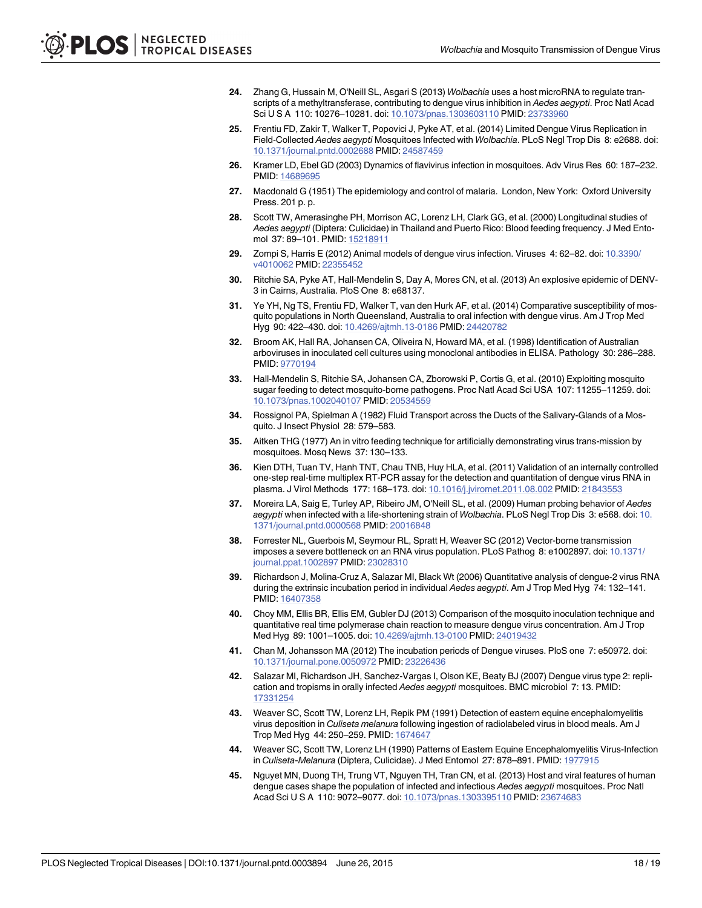- <span id="page-17-0"></span>[24.](#page-2-0) Zhang G, Hussain M, O'Neill SL, Asgari S (2013) Wolbachia uses a host microRNA to regulate transcripts of a methyltransferase, contributing to dengue virus inhibition in Aedes aegypti. Proc Natl Acad Sci U S A 110: 10276–10281. doi: [10.1073/pnas.1303603110](http://dx.doi.org/10.1073/pnas.1303603110) PMID: [23733960](http://www.ncbi.nlm.nih.gov/pubmed/23733960)
- [25.](#page-2-0) Frentiu FD, Zakir T, Walker T, Popovici J, Pyke AT, et al. (2014) Limited Dengue Virus Replication in Field-Collected Aedes aegypti Mosquitoes Infected with Wolbachia. PLoS Negl Trop Dis 8: e2688. doi: [10.1371/journal.pntd.0002688](http://dx.doi.org/10.1371/journal.pntd.0002688) PMID: [24587459](http://www.ncbi.nlm.nih.gov/pubmed/24587459)
- [26.](#page-2-0) Kramer LD, Ebel GD (2003) Dynamics of flavivirus infection in mosquitoes. Adv Virus Res 60: 187–232. PMID: [14689695](http://www.ncbi.nlm.nih.gov/pubmed/14689695)
- [27.](#page-2-0) Macdonald G (1951) The epidemiology and control of malaria. London, New York: Oxford University Press. 201 p. p.
- [28.](#page-2-0) Scott TW, Amerasinghe PH, Morrison AC, Lorenz LH, Clark GG, et al. (2000) Longitudinal studies of Aedes aegypti (Diptera: Culicidae) in Thailand and Puerto Rico: Blood feeding frequency. J Med Entomol 37: 89–101. PMID: [15218911](http://www.ncbi.nlm.nih.gov/pubmed/15218911)
- [29.](#page-2-0) Zompi S, Harris E (2012) Animal models of dengue virus infection. Viruses 4: 62–82. doi: [10.3390/](http://dx.doi.org/10.3390/v4010062) [v4010062](http://dx.doi.org/10.3390/v4010062) PMID: [22355452](http://www.ncbi.nlm.nih.gov/pubmed/22355452)
- [30.](#page-3-0) Ritchie SA, Pyke AT, Hall-Mendelin S, Day A, Mores CN, et al. (2013) An explosive epidemic of DENV-3 in Cairns, Australia. PloS One 8: e68137.
- [31.](#page-3-0) Ye YH, Ng TS, Frentiu FD, Walker T, van den Hurk AF, et al. (2014) Comparative susceptibility of mosquito populations in North Queensland, Australia to oral infection with dengue virus. Am J Trop Med Hyg 90: 422–430. doi: [10.4269/ajtmh.13-0186](http://dx.doi.org/10.4269/ajtmh.13-0186) PMID: [24420782](http://www.ncbi.nlm.nih.gov/pubmed/24420782)
- [32.](#page-3-0) Broom AK, Hall RA, Johansen CA, Oliveira N, Howard MA, et al. (1998) Identification of Australian arboviruses in inoculated cell cultures using monoclonal antibodies in ELISA. Pathology 30: 286–288. PMID: [9770194](http://www.ncbi.nlm.nih.gov/pubmed/9770194)
- [33.](#page-3-0) Hall-Mendelin S, Ritchie SA, Johansen CA, Zborowski P, Cortis G, et al. (2010) Exploiting mosquito sugar feeding to detect mosquito-borne pathogens. Proc Natl Acad Sci USA 107: 11255–11259. doi: [10.1073/pnas.1002040107](http://dx.doi.org/10.1073/pnas.1002040107) PMID: [20534559](http://www.ncbi.nlm.nih.gov/pubmed/20534559)
- [34.](#page-4-0) Rossignol PA, Spielman A (1982) Fluid Transport across the Ducts of the Salivary-Glands of a Mosquito. J Insect Physiol 28: 579–583.
- [35.](#page-4-0) Aitken THG (1977) An in vitro feeding technique for artificially demonstrating virus trans-mission by mosquitoes. Mosq News 37: 130–133.
- [36.](#page-5-0) Kien DTH, Tuan TV, Hanh TNT, Chau TNB, Huy HLA, et al. (2011) Validation of an internally controlled one-step real-time multiplex RT-PCR assay for the detection and quantitation of dengue virus RNA in plasma. J Virol Methods 177: 168–173. doi: [10.1016/j.jviromet.2011.08.002](http://dx.doi.org/10.1016/j.jviromet.2011.08.002) PMID: [21843553](http://www.ncbi.nlm.nih.gov/pubmed/21843553)
- [37.](#page-5-0) Moreira LA, Saig E, Turley AP, Ribeiro JM, O'Neill SL, et al. (2009) Human probing behavior of Aedes aegypti when infected with a life-shortening strain of Wolbachia. PLoS Negl Trop Dis 3: e568. doi: [10.](http://dx.doi.org/10.1371/journal.pntd.0000568) [1371/journal.pntd.0000568](http://dx.doi.org/10.1371/journal.pntd.0000568) PMID: [20016848](http://www.ncbi.nlm.nih.gov/pubmed/20016848)
- [38.](#page-12-0) Forrester NL, Guerbois M, Seymour RL, Spratt H, Weaver SC (2012) Vector-borne transmission imposes a severe bottleneck on an RNA virus population. PLoS Pathog 8: e1002897. doi: [10.1371/](http://dx.doi.org/10.1371/journal.ppat.1002897) [journal.ppat.1002897](http://dx.doi.org/10.1371/journal.ppat.1002897) PMID: [23028310](http://www.ncbi.nlm.nih.gov/pubmed/23028310)
- [39.](#page-13-0) Richardson J, Molina-Cruz A, Salazar MI, Black Wt (2006) Quantitative analysis of dengue-2 virus RNA during the extrinsic incubation period in individual Aedes aegypti. Am J Trop Med Hyg 74: 132–141. PMID: [16407358](http://www.ncbi.nlm.nih.gov/pubmed/16407358)
- [40.](#page-13-0) Choy MM, Ellis BR, Ellis EM, Gubler DJ (2013) Comparison of the mosquito inoculation technique and quantitative real time polymerase chain reaction to measure dengue virus concentration. Am J Trop Med Hyg 89: 1001–1005. doi: [10.4269/ajtmh.13-0100](http://dx.doi.org/10.4269/ajtmh.13-0100) PMID: [24019432](http://www.ncbi.nlm.nih.gov/pubmed/24019432)
- [41.](#page-13-0) Chan M, Johansson MA (2012) The incubation periods of Dengue viruses. PloS one 7: e50972. doi: [10.1371/journal.pone.0050972](http://dx.doi.org/10.1371/journal.pone.0050972) PMID: [23226436](http://www.ncbi.nlm.nih.gov/pubmed/23226436)
- [42.](#page-14-0) Salazar MI, Richardson JH, Sanchez-Vargas I, Olson KE, Beaty BJ (2007) Dengue virus type 2: replication and tropisms in orally infected Aedes aegypti mosquitoes. BMC microbiol 7: 13. PMID: [17331254](http://www.ncbi.nlm.nih.gov/pubmed/17331254)
- [43.](#page-14-0) Weaver SC, Scott TW, Lorenz LH, Repik PM (1991) Detection of eastern equine encephalomyelitis virus deposition in Culiseta melanura following ingestion of radiolabeled virus in blood meals. Am J Trop Med Hyg 44: 250–259. PMID: [1674647](http://www.ncbi.nlm.nih.gov/pubmed/1674647)
- [44.](#page-14-0) Weaver SC, Scott TW, Lorenz LH (1990) Patterns of Eastern Equine Encephalomyelitis Virus-Infection in Culiseta-Melanura (Diptera, Culicidae). J Med Entomol 27: 878–891. PMID: [1977915](http://www.ncbi.nlm.nih.gov/pubmed/1977915)
- [45.](#page-14-0) Nguyet MN, Duong TH, Trung VT, Nguyen TH, Tran CN, et al. (2013) Host and viral features of human dengue cases shape the population of infected and infectious Aedes aegypti mosquitoes. Proc Natl Acad Sci U S A 110: 9072–9077. doi: [10.1073/pnas.1303395110](http://dx.doi.org/10.1073/pnas.1303395110) PMID: [23674683](http://www.ncbi.nlm.nih.gov/pubmed/23674683)